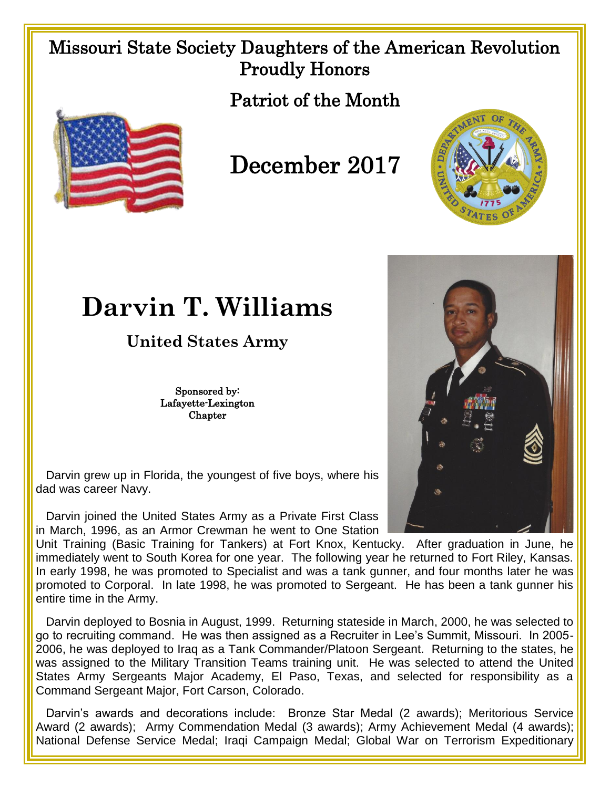## Missouri State Society Daughters of the American Revolution Proudly Honors

Patriot of the Month



## December 2017



## **Darvin T. Williams**

**United States Army**

Sponsored by: Lafayette-Lexington Chapter



 Darvin grew up in Florida, the youngest of five boys, where his dad was career Navy.

 Darvin joined the United States Army as a Private First Class in March, 1996, as an Armor Crewman he went to One Station

Unit Training (Basic Training for Tankers) at Fort Knox, Kentucky. After graduation in June, he immediately went to South Korea for one year. The following year he returned to Fort Riley, Kansas. In early 1998, he was promoted to Specialist and was a tank gunner, and four months later he was promoted to Corporal. In late 1998, he was promoted to Sergeant. He has been a tank gunner his entire time in the Army.

 Darvin deployed to Bosnia in August, 1999. Returning stateside in March, 2000, he was selected to go to recruiting command. He was then assigned as a Recruiter in Lee's Summit, Missouri. In 2005- 2006, he was deployed to Iraq as a Tank Commander/Platoon Sergeant. Returning to the states, he was assigned to the Military Transition Teams training unit. He was selected to attend the United States Army Sergeants Major Academy, El Paso, Texas, and selected for responsibility as a Command Sergeant Major, Fort Carson, Colorado.

 Darvin's awards and decorations include: Bronze Star Medal (2 awards); Meritorious Service Award (2 awards); Army Commendation Medal (3 awards); Army Achievement Medal (4 awards); National Defense Service Medal; Iraqi Campaign Medal; Global War on Terrorism Expeditionary